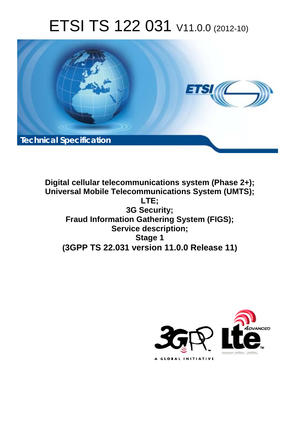# ETSI TS 122 031 V11.0.0 (2012-10)



**Digital cellular telecommunications system (Phase 2+); Universal Mobile Telecommunications System (UMTS); LTE; 3G Security; Fraud Information Gathering System (FIGS); Service description; Stage 1 (3GPP TS 22.031 version 11.0.0 Release 11)**

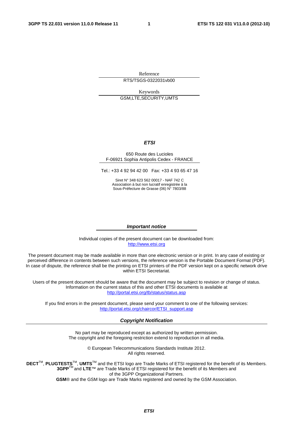Reference RTS/TSGS-0322031vb00

Keywords GSM,LTE,SECURITY,UMTS

#### *ETSI*

#### 650 Route des Lucioles F-06921 Sophia Antipolis Cedex - FRANCE

Tel.: +33 4 92 94 42 00 Fax: +33 4 93 65 47 16

Siret N° 348 623 562 00017 - NAF 742 C Association à but non lucratif enregistrée à la Sous-Préfecture de Grasse (06) N° 7803/88

#### *Important notice*

Individual copies of the present document can be downloaded from: [http://www.etsi.org](http://www.etsi.org/)

The present document may be made available in more than one electronic version or in print. In any case of existing or perceived difference in contents between such versions, the reference version is the Portable Document Format (PDF). In case of dispute, the reference shall be the printing on ETSI printers of the PDF version kept on a specific network drive within ETSI Secretariat.

Users of the present document should be aware that the document may be subject to revision or change of status. Information on the current status of this and other ETSI documents is available at <http://portal.etsi.org/tb/status/status.asp>

If you find errors in the present document, please send your comment to one of the following services: [http://portal.etsi.org/chaircor/ETSI\\_support.asp](http://portal.etsi.org/chaircor/ETSI_support.asp)

#### *Copyright Notification*

No part may be reproduced except as authorized by written permission. The copyright and the foregoing restriction extend to reproduction in all media.

> © European Telecommunications Standards Institute 2012. All rights reserved.

DECT<sup>™</sup>, PLUGTESTS<sup>™</sup>, UMTS<sup>™</sup> and the ETSI logo are Trade Marks of ETSI registered for the benefit of its Members. **3GPP**TM and **LTE**™ are Trade Marks of ETSI registered for the benefit of its Members and of the 3GPP Organizational Partners.

**GSM**® and the GSM logo are Trade Marks registered and owned by the GSM Association.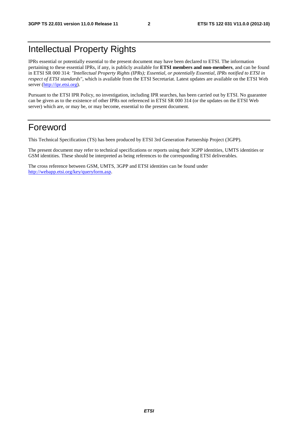### Intellectual Property Rights

IPRs essential or potentially essential to the present document may have been declared to ETSI. The information pertaining to these essential IPRs, if any, is publicly available for **ETSI members and non-members**, and can be found in ETSI SR 000 314: *"Intellectual Property Rights (IPRs); Essential, or potentially Essential, IPRs notified to ETSI in respect of ETSI standards"*, which is available from the ETSI Secretariat. Latest updates are available on the ETSI Web server [\(http://ipr.etsi.org](http://webapp.etsi.org/IPR/home.asp)).

Pursuant to the ETSI IPR Policy, no investigation, including IPR searches, has been carried out by ETSI. No guarantee can be given as to the existence of other IPRs not referenced in ETSI SR 000 314 (or the updates on the ETSI Web server) which are, or may be, or may become, essential to the present document.

### Foreword

This Technical Specification (TS) has been produced by ETSI 3rd Generation Partnership Project (3GPP).

The present document may refer to technical specifications or reports using their 3GPP identities, UMTS identities or GSM identities. These should be interpreted as being references to the corresponding ETSI deliverables.

The cross reference between GSM, UMTS, 3GPP and ETSI identities can be found under [http://webapp.etsi.org/key/queryform.asp.](http://webapp.etsi.org/key/queryform.asp)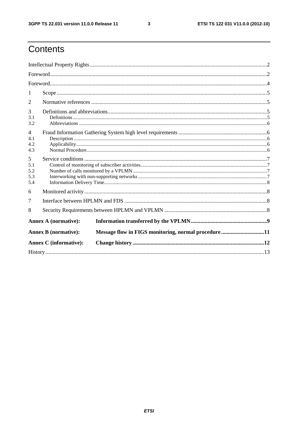$\mathbf{3}$ 

## Contents

| 1                                   |                               |                                                     |  |  |  |  |
|-------------------------------------|-------------------------------|-----------------------------------------------------|--|--|--|--|
| 2                                   |                               |                                                     |  |  |  |  |
| 3<br>3.1<br>3.2                     |                               |                                                     |  |  |  |  |
| $\overline{4}$<br>4.1<br>4.2<br>4.3 |                               |                                                     |  |  |  |  |
| 5<br>5.1<br>5.2<br>5.3<br>5.4       |                               |                                                     |  |  |  |  |
| 6                                   |                               |                                                     |  |  |  |  |
| 7                                   |                               |                                                     |  |  |  |  |
| 8                                   |                               |                                                     |  |  |  |  |
|                                     | <b>Annex A (normative):</b>   |                                                     |  |  |  |  |
|                                     | <b>Annex B</b> (normative):   | Message flow in FIGS monitoring, normal procedure11 |  |  |  |  |
|                                     | <b>Annex C</b> (informative): |                                                     |  |  |  |  |
|                                     |                               |                                                     |  |  |  |  |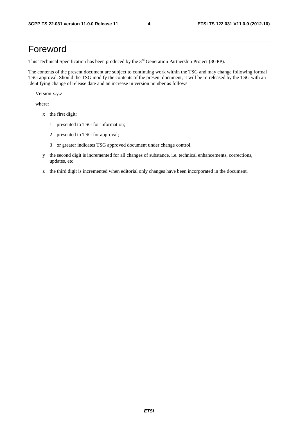### Foreword

This Technical Specification has been produced by the 3<sup>rd</sup> Generation Partnership Project (3GPP).

The contents of the present document are subject to continuing work within the TSG and may change following formal TSG approval. Should the TSG modify the contents of the present document, it will be re-released by the TSG with an identifying change of release date and an increase in version number as follows:

Version x.y.z

where:

- x the first digit:
	- 1 presented to TSG for information;
	- 2 presented to TSG for approval;
	- 3 or greater indicates TSG approved document under change control.
- y the second digit is incremented for all changes of substance, i.e. technical enhancements, corrections, updates, etc.
- z the third digit is incremented when editorial only changes have been incorporated in the document.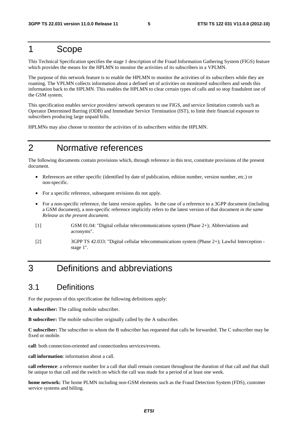### 1 Scope

This Technical Specification specifies the stage 1 description of the Fraud Information Gathering System (FIGS) feature which provides the means for the HPLMN to monitor the activities of its subscribers in a VPLMN.

The purpose of this network feature is to enable the HPLMN to monitor the activities of its subscribers while they are roaming. The VPLMN collects information about a defined set of activities on monitored subscribers and sends this information back to the HPLMN. This enables the HPLMN to clear certain types of calls and so stop fraudulent use of the GSM system.

This specification enables service providers/ network operators to use FIGS, and service limitation controls such as Operator Determined Barring (ODB) and Immediate Service Termination (IST), to limit their financial exposure to subscribers producing large unpaid bills.

HPLMNs may also choose to monitor the activities of its subscribers within the HPLMN.

### 2 Normative references

The following documents contain provisions which, through reference in this text, constitute provisions of the present document.

- References are either specific (identified by date of publication, edition number, version number, etc.) or non-specific.
- For a specific reference, subsequent revisions do not apply.
- For a non-specific reference, the latest version applies. In the case of a reference to a 3GPP document (including a GSM document), a non-specific reference implicitly refers to the latest version of that document *in the same Release as the present document*.
- [1] GSM 01.04: "Digital cellular telecommunications system (Phase 2+); Abbreviations and acronyms".
- [2] 3GPP TS 42.033: "Digital cellular telecommunications system (Phase 2+); Lawful Interception stage 1".

### 3 Definitions and abbreviations

#### 3.1 Definitions

For the purposes of this specification the following definitions apply:

**A subscriber:** The calling mobile subscriber.

**B subscriber:** The mobile subscriber originally called by the A subscriber.

**C subscriber:** The subscriber to whom the B subscriber has requested that calls be forwarded. The C subscriber may be fixed or mobile.

**call**: both connection-oriented and connectionless services/events.

**call information**: information about a call.

**call reference**: a reference number for a call that shall remain constant throughout the duration of that call and that shall be unique to that call and the switch on which the call was made for a period of at least one week.

**home network:** The home PLMN including non-GSM elements such as the Fraud Detection System (FDS), customer service systems and billing.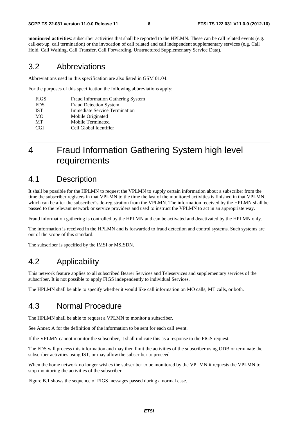**monitored activities**: subscriber activities that shall be reported to the HPLMN. These can be call related events (e.g. call-set-up, call termination) or the invocation of call related and call independent supplementary services (e.g. Call Hold, Call Waiting, Call Transfer, Call Forwarding, Unstructured Supplementary Service Data).

#### 3.2 Abbreviations

Abbreviations used in this specification are also listed in GSM 01.04.

For the purposes of this specification the following abbreviations apply:

| <b>FIGS</b> | Fraud Information Gathering System   |
|-------------|--------------------------------------|
| <b>FDS</b>  | <b>Fraud Detection System</b>        |
| <b>IST</b>  | <b>Immediate Service Termination</b> |
| МO          | Mobile Originated                    |
| <b>MT</b>   | Mobile Terminated                    |
| CGI         | Cell Global Identifier               |

## 4 Fraud Information Gathering System high level requirements

#### 4.1 Description

It shall be possible for the HPLMN to request the VPLMN to supply certain information about a subscriber from the time the subscriber registers in that VPLMN to the time the last of the monitored activities is finished in that VPLMN, which can be after the subscriber"s de-registration from the VPLMN. The information received by the HPLMN shall be passed to the relevant network or service providers and used to instruct the VPLMN to act in an appropriate way.

Fraud information gathering is controlled by the HPLMN and can be activated and deactivated by the HPLMN only.

The information is received in the HPLMN and is forwarded to fraud detection and control systems. Such systems are out of the scope of this standard.

The subscriber is specified by the IMSI or MSISDN.

#### 4.2 Applicability

This network feature applies to all subscribed Bearer Services and Teleservices and supplementary services of the subscriber. It is not possible to apply FIGS independently to individual Services.

The HPLMN shall be able to specify whether it would like call information on MO calls, MT calls, or both.

#### 4.3 Normal Procedure

The HPLMN shall be able to request a VPLMN to monitor a subscriber.

See Annex A for the definition of the information to be sent for each call event.

If the VPLMN cannot monitor the subscriber, it shall indicate this as a response to the FIGS request.

The FDS will process this information and may then limit the activities of the subscriber using ODB or terminate the subscriber activities using IST, or may allow the subscriber to proceed.

When the home network no longer wishes the subscriber to be monitored by the VPLMN it requests the VPLMN to stop monitoring the activities of the subscriber.

Figure B.1 shows the sequence of FIGS messages passed during a normal case.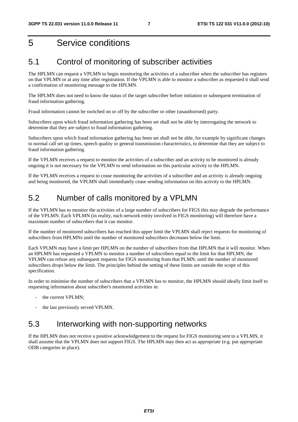### 5 Service conditions

#### 5.1 Control of monitoring of subscriber activities

The HPLMN can request a VPLMN to begin monitoring the activities of a subscriber when the subscriber has registers on that VPLMN or at any time after registration. If the VPLMN is able to monitor a subscriber as requested it shall send a confirmation of monitoring message to the HPLMN.

The HPLMN does not need to know the status of the target subscriber before initiation or subsequent termination of fraud information gathering.

Fraud information cannot be switched on or off by the subscriber or other (unauthorised) party.

Subscribers upon which fraud information gathering has been set shall not be able by interrogating the network to determine that they are subject to fraud information gathering.

Subscribers upon which fraud information gathering has been set shall not be able, for example by significant changes to normal call set up times, speech quality or general transmission characteristics, to determine that they are subject to fraud information gathering.

If the VPLMN receives a request to monitor the activities of a subscriber and an activity to be monitored is already ongoing it is not necessary for the VPLMN to send information on this particular activity to the HPLMN.

If the VPLMN receives a request to cease monitoring the activities of a subscriber and an activity is already ongoing and being monitored, the VPLMN shall immediately cease sending information on this activity to the HPLMN.

#### 5.2 Number of calls monitored by a VPLMN

If the VPLMN has to monitor the activities of a large number of subscribers for FIGS this may degrade the performance of the VPLMN. Each VPLMN (in reality, each network entity involved in FIGS monitoring) will therefore have a maximum number of subscribers that it can monitor.

If the number of monitored subscribers has reached this upper limit the VPLMN shall reject requests for monitoring of subscribers from HPLMNs until the number of monitored subscribers decreases below the limit.

Each VPLMN may have a limit per HPLMN on the number of subscribers from that HPLMN that it will monitor. When an HPLMN has requested a VPLMN to monitor a number of subscribers equal to the limit for that HPLMN, the VPLMN can refuse any subsequent requests for FIGS monitoring from that PLMN, until the number of monitored subscribers drops below the limit. The principles behind the setting of these limits are outside the scope of this specification.

In order to minimise the number of subscribers that a VPLMN has to monitor, the HPLMN should ideally limit itself to requesting information about subscriber's monitored activities in:

- the current VPLMN:
- the last previously served VPLMN.

#### 5.3 Interworking with non-supporting networks

If the HPLMN does not receive a positive acknowledgement to the request for FIGS monitoring sent to a VPLMN, it shall assume that the VPLMN does not support FIGS. The HPLMN may then act as appropriate (e.g. put appropriate ODB categories in place).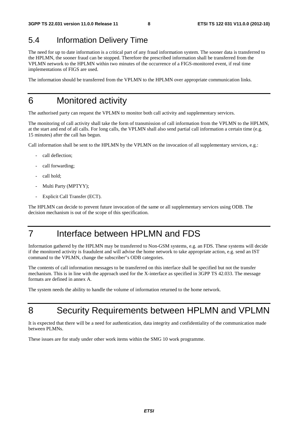#### 5.4 Information Delivery Time

The need for up to date information is a critical part of any fraud information system. The sooner data is transferred to the HPLMN, the sooner fraud can be stopped. Therefore the prescribed information shall be transferred from the VPLMN network to the HPLMN within two minutes of the occurrence of a FIGS-monitored event, if real time implementations of FIGS are used.

The information should be transferred from the VPLMN to the HPLMN over appropriate communication links.

### 6 Monitored activity

The authorised party can request the VPLMN to monitor both call activity and supplementary services.

The monitoring of call activity shall take the form of transmission of call information from the VPLMN to the HPLMN, at the start and end of all calls. For long calls, the VPLMN shall also send partial call information a certain time (e.g. 15 minutes) after the call has begun.

Call information shall be sent to the HPLMN by the VPLMN on the invocation of all supplementary services, e.g.:

- call deflection;
- call forwarding;
- call hold;
- Multi Party (MPTYY);
- Explicit Call Transfer (ECT).

The HPLMN can decide to prevent future invocation of the same or all supplementary services using ODB. The decision mechanism is out of the scope of this specification.

### 7 Interface between HPLMN and FDS

Information gathered by the HPLMN may be transferred to Non-GSM systems, e.g. an FDS. These systems will decide if the monitored activity is fraudulent and will advise the home network to take appropriate action, e.g. send an IST command to the VPLMN, change the subscriber"s ODB categories.

The contents of call information messages to be transferred on this interface shall be specified but not the transfer mechanism. This is in line with the approach used for the X-interface as specified in 3GPP TS 42.033. The message formats are defined in annex A.

The system needs the ability to handle the volume of information returned to the home network.

### 8 Security Requirements between HPLMN and VPLMN

It is expected that there will be a need for authentication, data integrity and confidentiality of the communication made between PLMNs.

These issues are for study under other work items within the SMG 10 work programme.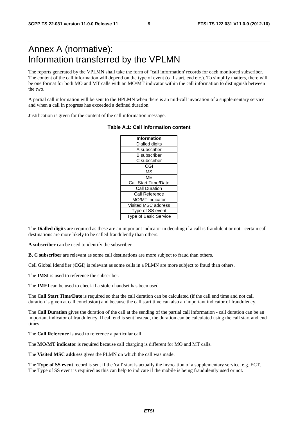### Annex A (normative): Information transferred by the VPLMN

The reports generated by the VPLMN shall take the form of "call information' records for each monitored subscriber. The content of the call information will depend on the type of event (call start, end etc.). To simplify matters, there will be one format for both MO and MT calls with an MO/MT indicator within the call information to distinguish between the two.

A partial call information will be sent to the HPLMN when there is an mid-call invocation of a supplementary service and when a call in progress has exceeded a defined duration.

Justification is given for the content of the call information message.

| <b>Information</b>           |
|------------------------------|
| Dialled digits               |
| A subscriber                 |
| <b>B</b> subscriber          |
| C subscriber                 |
| CGI                          |
| IMSI                         |
| IMEI                         |
| <b>Call Start Time/Date</b>  |
| Call Duration                |
| Call Reference               |
| <b>MO/MT</b> indicator       |
| Visited MSC address          |
| Type of SS event             |
| <b>Type of Basic Service</b> |

#### **Table A.1: Call information content**

The **Dialled digits** are required as these are an important indicator in deciding if a call is fraudulent or not - certain call destinations are more likely to be called fraudulently than others.

**A subscriber** can be used to identify the subscriber

**B, C subscriber** are relevant as some call destinations are more subject to fraud than others.

Cell Global Identifier (**CGI**) is relevant as some cells in a PLMN are more subject to fraud than others.

The **IMSI** is used to reference the subscriber.

The **IMEI** can be used to check if a stolen handset has been used.

The **Call Start Time/Date** is required so that the call duration can be calculated (if the call end time and not call duration is given at call conclusion) and because the call start time can also an important indicator of fraudulency.

The **Call Duration** gives the duration of the call at the sending of the partial call information - call duration can be an important indicator of fraudulency. If call end is sent instead, the duration can be calculated using the call start and end times.

The **Call Reference** is used to reference a particular call.

The **MO/MT indicator** is required because call charging is different for MO and MT calls.

The **Visited MSC address** gives the PLMN on which the call was made.

The **Type of SS event** record is sent if the 'call' start is actually the invocation of a supplementary service, e.g. ECT. The Type of SS event is required as this can help to indicate if the mobile is being fraudulently used or not.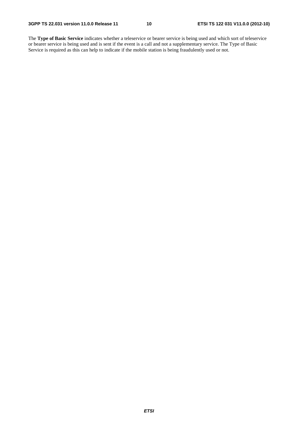The **Type of Basic Service** indicates whether a teleservice or bearer service is being used and which sort of teleservice or bearer service is being used and is sent if the event is a call and not a supplementary service. The Type of Basic Service is required as this can help to indicate if the mobile station is being fraudulently used or not.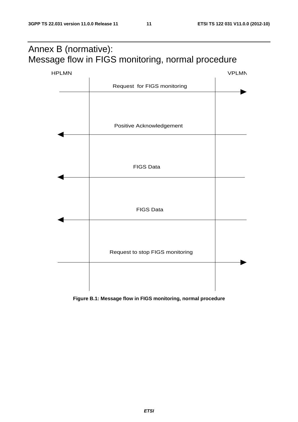## Annex B (normative): Message flow in FIGS monitoring, normal procedure



**Figure B.1: Message flow in FIGS monitoring, normal procedure**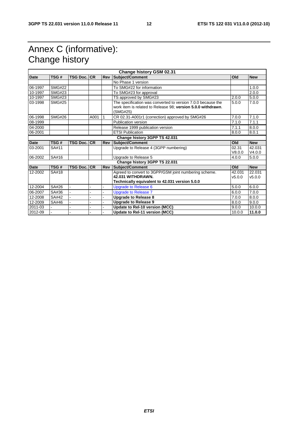## Annex C (informative): Change history

| <b>Change history GSM 02.31</b> |               |                    |      |            |                                                                                                                                          |                  |                  |
|---------------------------------|---------------|--------------------|------|------------|------------------------------------------------------------------------------------------------------------------------------------------|------------------|------------------|
| <b>Date</b>                     | TSG#          | <b>TSG Doc. CR</b> |      | Rev        | Subject/Comment                                                                                                                          | Old              | <b>New</b>       |
|                                 |               |                    |      |            | No Phase 1 version                                                                                                                       |                  |                  |
| 06-1997                         | <b>SMG#22</b> |                    |      |            | To SMG#22 for information                                                                                                                |                  | 1.0.0            |
| 10-1997                         | <b>SMG#23</b> |                    |      |            | To SMG#23 for approval                                                                                                                   |                  | 2.0.0            |
| 10-1997                         | <b>SMG#23</b> |                    |      |            | TS approved by SMG#23                                                                                                                    | 2.0.0            | 5.0.0            |
| 03-1998                         | <b>SMG#25</b> |                    |      |            | The specification was converted to version 7.0.0 because the<br>work item is related to Release 98; version 5.0.0 withdrawn.<br>(SMG#25) | 5.0.0            | 7.0.0            |
| 06-1998                         | <b>SMG#26</b> |                    | A001 | 1          | CR 02.31-A001r1 (correction) approved by SMG#26                                                                                          | 7.0.0            | 7.1.0            |
| 08-1999                         |               |                    |      |            | Publication version                                                                                                                      | 7.1.0            | 7.1.1            |
| 04-2000                         |               |                    |      |            | Release 1999 publication version                                                                                                         | 7.1.1            | 8.0.0            |
| 06-2001                         |               |                    |      |            | <b>ETSI Publication</b>                                                                                                                  | 8.0.0            | 8.0.1            |
|                                 |               |                    |      |            | Change history 3GPP TS 42.031                                                                                                            |                  |                  |
| <b>Date</b>                     | TSG#          | <b>TSG Doc. CR</b> |      | <b>Rev</b> | Subject/Comment                                                                                                                          | Old              | <b>New</b>       |
| 03-2001                         | SA#11         |                    |      |            | Upgrade to Release 4 (3GPP numbering)                                                                                                    | 02.31<br>V8.0.0  | 42.031<br>V4.0.0 |
| 06-2002                         | SA#16         |                    |      |            | Upgrade to Release 5                                                                                                                     | 4.0.0            | 5.0.0            |
|                                 |               |                    |      |            | Change history 3GPP TS 22.031                                                                                                            |                  |                  |
| Date                            | TSG#          | <b>TSG Doc. CR</b> |      | Rev        | Subject/Comment                                                                                                                          | <b>Old</b>       | <b>New</b>       |
| 12-2002                         | SA#18         |                    |      |            | Agreed to convert to 3GPP/GSM joint numbering scheme.<br>42.031 WITHDRAWN.<br>Technically equivalent to 42.031 version 5.0.0             | 42.031<br>v5.0.0 | 22.031<br>v5.0.0 |
| 12-2004                         | SA#26         |                    |      |            | <b>Upgrade to Release 6</b>                                                                                                              | 5.0.0            | 6.0.0            |
| 06-2007                         | SA#36         |                    |      |            | <b>Upgrade to Release 7</b>                                                                                                              | 6.0.0            | 7.0.0            |
| 12-2008                         | SA#42         |                    |      |            | <b>Upgrade to Release 8</b>                                                                                                              | 7.0.0            | 8.0.0            |
| 12-2009                         | SA#46         |                    |      |            | <b>Upgrade to Release 9</b>                                                                                                              | 8.0.0            | 9.0.0            |
| 2011-03                         |               |                    |      |            | Update to Rel-10 version (MCC)                                                                                                           | 9.0.0            | 10.0.0           |
| 2012-09                         |               |                    |      |            | Update to Rel-11 version (MCC)                                                                                                           | 10.0.0           | 11.0.0           |